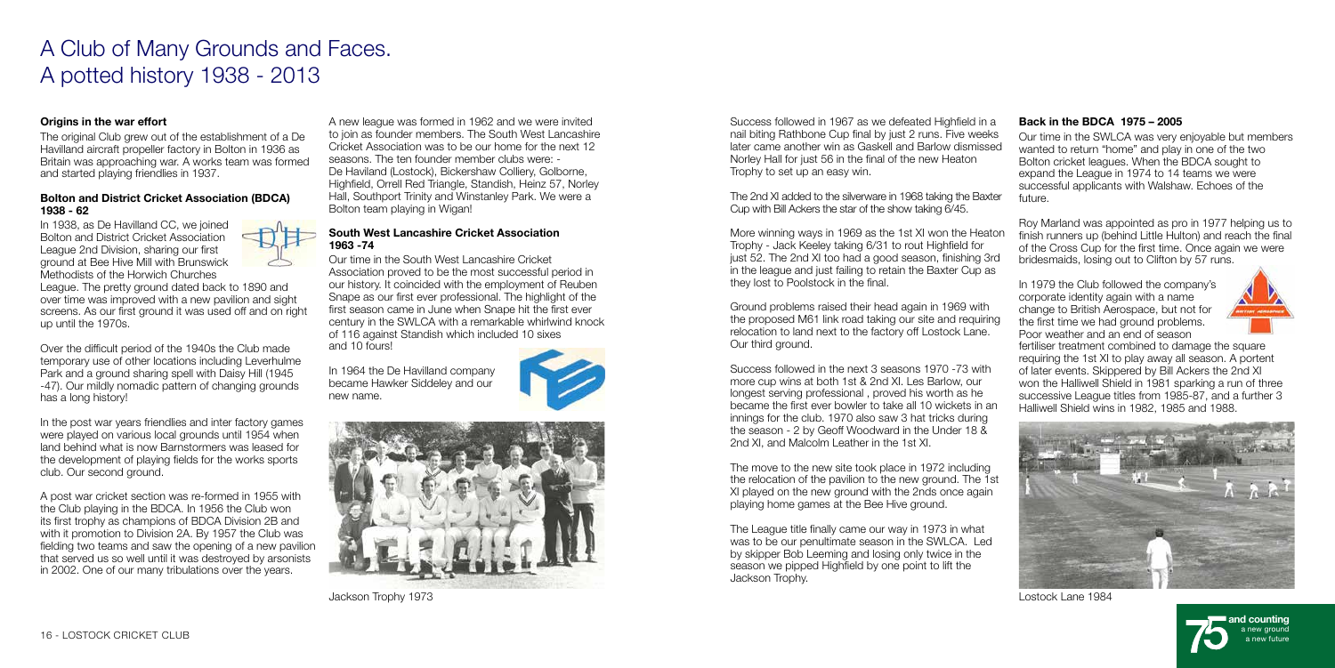

# A Club of Many Grounds and Faces. A potted history 1938 - 2013

## Origins in the war effort

The original Club grew out of the establishment of a De Havilland aircraft propeller factory in Bolton in 1936 as Britain was approaching war. A works team was formed and started playing friendlies in 1937.

#### Bolton and District Cricket Association (BDCA) 1938 - 62

In 1938, as De Havilland CC, we joined Bolton and District Cricket Association League 2nd Division, sharing our first ground at Bee Hive Mill with Brunswick Methodists of the Horwich Churches



League. The pretty ground dated back to 1890 and over time was improved with a new pavilion and sight screens. As our first ground it was used off and on right up until the 1970s.

Over the difficult period of the 1940s the Club made temporary use of other locations including Leverhulme Park and a ground sharing spell with Daisy Hill (1945 -47). Our mildly nomadic pattern of changing grounds has a long history!

In the post war years friendlies and inter factory games were played on various local grounds until 1954 when land behind what is now Barnstormers was leased for the development of playing fields for the works sports club. Our second ground.

A post war cricket section was re-formed in 1955 with the Club playing in the BDCA. In 1956 the Club won its first trophy as champions of BDCA Division 2B and with it promotion to Division 2A. By 1957 the Club was fielding two teams and saw the opening of a new pavilion that served us so well until it was destroyed by arsonists in 2002. One of our many tribulations over the years.

Success followed in the next 3 seasons 1970 -73 with more cup wins at both 1st & 2nd XI. Les Barlow, our longest serving professional , proved his worth as he became the first ever bowler to take all 10 wickets in an innings for the club. 1970 also saw 3 hat tricks during the season - 2 by Geoff Woodward in the Under 18 & 2nd XI, and Malcolm Leather in the 1st XI.

A new league was formed in 1962 and we were invited to join as founder members. The South West Lancashire Cricket Association was to be our home for the next 12 seasons. The ten founder member clubs were: - De Haviland (Lostock), Bickershaw Colliery, Golborne, Highfield, Orrell Red Triangle, Standish, Heinz 57, Norley Hall, Southport Trinity and Winstanley Park. We were a Bolton team playing in Wigan!

### South West Lancashire Cricket Association 1963 -74

Our time in the South West Lancashire Cricket Association proved to be the most successful period in our history. It coincided with the employment of Reuben Snape as our first ever professional. The highlight of the first season came in June when Snape hit the first ever century in the SWLCA with a remarkable whirlwind knock of 116 against Standish which included 10 sixes and 10 fours!

In 1964 the De Havilland company became Hawker Siddeley and our new name.





Jackson Trophy 1973

Success followed in 1967 as we defeated Highfield in a nail biting Rathbone Cup final by just 2 runs. Five weeks later came another win as Gaskell and Barlow dismissed Norley Hall for just 56 in the final of the new Heaton Trophy to set up an easy win.

The 2nd XI added to the silverware in 1968 taking the Baxter Cup with Bill Ackers the star of the show taking 6/45.

More winning ways in 1969 as the 1st XI won the Heaton Trophy - Jack Keeley taking 6/31 to rout Highfield for just 52. The 2nd XI too had a good season, finishing 3rd in the league and just failing to retain the Baxter Cup as they lost to Poolstock in the final.

Ground problems raised their head again in 1969 with the proposed M61 link road taking our site and requiring relocation to land next to the factory off Lostock Lane. Our third ground.

The move to the new site took place in 1972 including the relocation of the pavilion to the new ground. The 1st XI played on the new ground with the 2nds once again playing home games at the Bee Hive ground.

The League title finally came our way in 1973 in what was to be our penultimate season in the SWLCA. Led by skipper Bob Leeming and losing only twice in the season we pipped Highfield by one point to lift the Jackson Trophy.

## Back in the BDCA 1975 – 2005

Our time in the SWLCA was very enjoyable but members wanted to return "home" and play in one of the two Bolton cricket leagues. When the BDCA sought to expand the League in 1974 to 14 teams we were successful applicants with Walshaw. Echoes of the future.

Roy Marland was appointed as pro in 1977 helping us to finish runners up (behind Little Hulton) and reach the final of the Cross Cup for the first time. Once again we were bridesmaids, losing out to Clifton by 57 runs.

In 1979 the Club followed the company's corporate identity again with a name change to British Aerospace, but not for the first time we had ground problems. Poor weather and an end of season



fertiliser treatment combined to damage the square requiring the 1st XI to play away all season. A portent of later events. Skippered by Bill Ackers the 2nd XI won the Halliwell Shield in 1981 sparking a run of three successive League titles from 1985-87, and a further 3 Halliwell Shield wins in 1982, 1985 and 1988.



Lostock Lane 1984